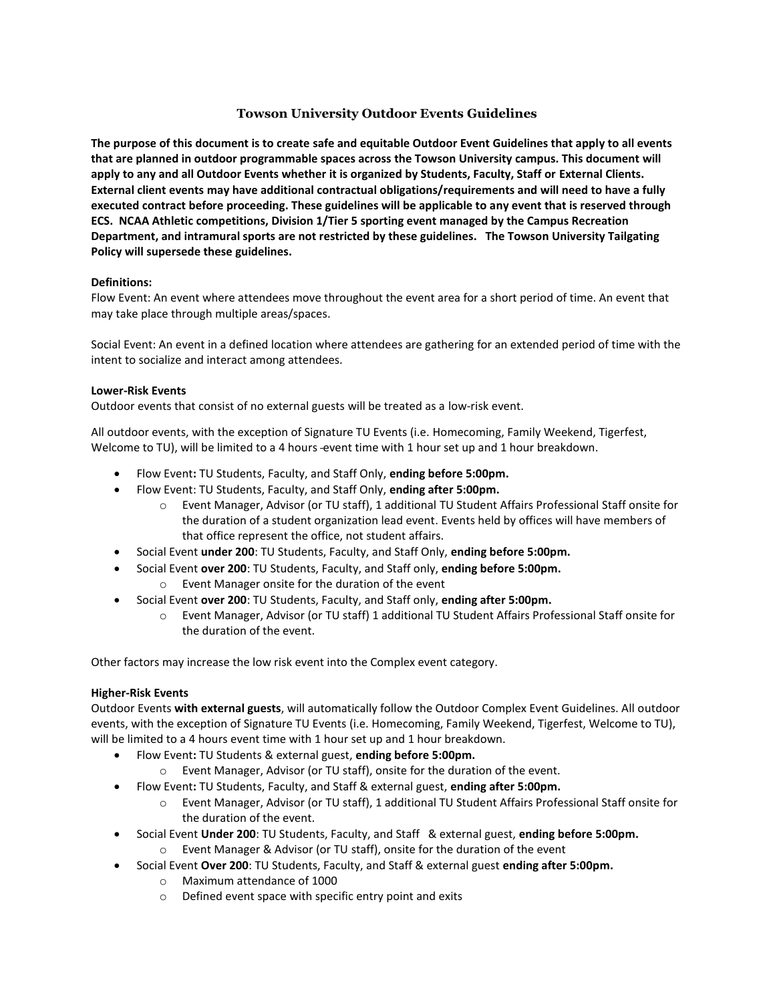# **Towson University Outdoor Events Guidelines**

**The purpose of this document is to create safe and equitable Outdoor Event Guidelines that apply to all events that are planned in outdoor programmable spaces across the Towson University campus. This document will apply to any and all Outdoor Events whether it is organized by Students, Faculty, Staff or External Clients. External client events may have additional contractual obligations/requirements and will need to have a fully executed contract before proceeding. These guidelines will be applicable to any event that is reserved through ECS. NCAA Athletic competitions, Division 1/Tier 5 sporting event managed by the Campus Recreation Department, and intramural sports are not restricted by these guidelines. The Towson University Tailgating Policy will supersede these guidelines.**

## **Definitions:**

Flow Event: An event where attendees move throughout the event area for a short period of time. An event that may take place through multiple areas/spaces.

Social Event: An event in a defined location where attendees are gathering for an extended period of time with the intent to socialize and interact among attendees.

### **Lower-Risk Events**

Outdoor events that consist of no external guests will be treated as a low-risk event.

All outdoor events, with the exception of Signature TU Events (i.e. Homecoming, Family Weekend, Tigerfest, Welcome to TU), will be limited to a 4 hours event time with 1 hour set up and 1 hour breakdown.

- Flow Event**:** TU Students, Faculty, and Staff Only, **ending before 5:00pm.**
- Flow Event: TU Students, Faculty, and Staff Only, **ending after 5:00pm.**
	- o Event Manager, Advisor (or TU staff), 1 additional TU Student Affairs Professional Staff onsite for the duration of a student organization lead event. Events held by offices will have members of that office represent the office, not student affairs.
- Social Event **under 200**: TU Students, Faculty, and Staff Only, **ending before 5:00pm.**
- Social Event **over 200**: TU Students, Faculty, and Staff only, **ending before 5:00pm.** o Event Manager onsite for the duration of the event
- Social Event **over 200**: TU Students, Faculty, and Staff only, **ending after 5:00pm.**
	- o Event Manager, Advisor (or TU staff) 1 additional TU Student Affairs Professional Staff onsite for the duration of the event.

Other factors may increase the low risk event into the Complex event category.

#### **Higher-Risk Events**

Outdoor Events **with external guests**, will automatically follow the Outdoor Complex Event Guidelines. All outdoor events, with the exception of Signature TU Events (i.e. Homecoming, Family Weekend, Tigerfest, Welcome to TU), will be limited to a 4 hours event time with 1 hour set up and 1 hour breakdown.

- Flow Event**:** TU Students & external guest, **ending before 5:00pm.**
	- o Event Manager, Advisor (or TU staff), onsite for the duration of the event.
- Flow Event**:** TU Students, Faculty, and Staff & external guest, **ending after 5:00pm.**
	- o Event Manager, Advisor (or TU staff), 1 additional TU Student Affairs Professional Staff onsite for the duration of the event.
- Social Event **Under 200**: TU Students, Faculty, and Staff & external guest, **ending before 5:00pm.**
	- o Event Manager & Advisor (or TU staff), onsite for the duration of the event
- Social Event **Over 200**: TU Students, Faculty, and Staff & external guest **ending after 5:00pm.**
	- o Maximum attendance of 1000
	- o Defined event space with specific entry point and exits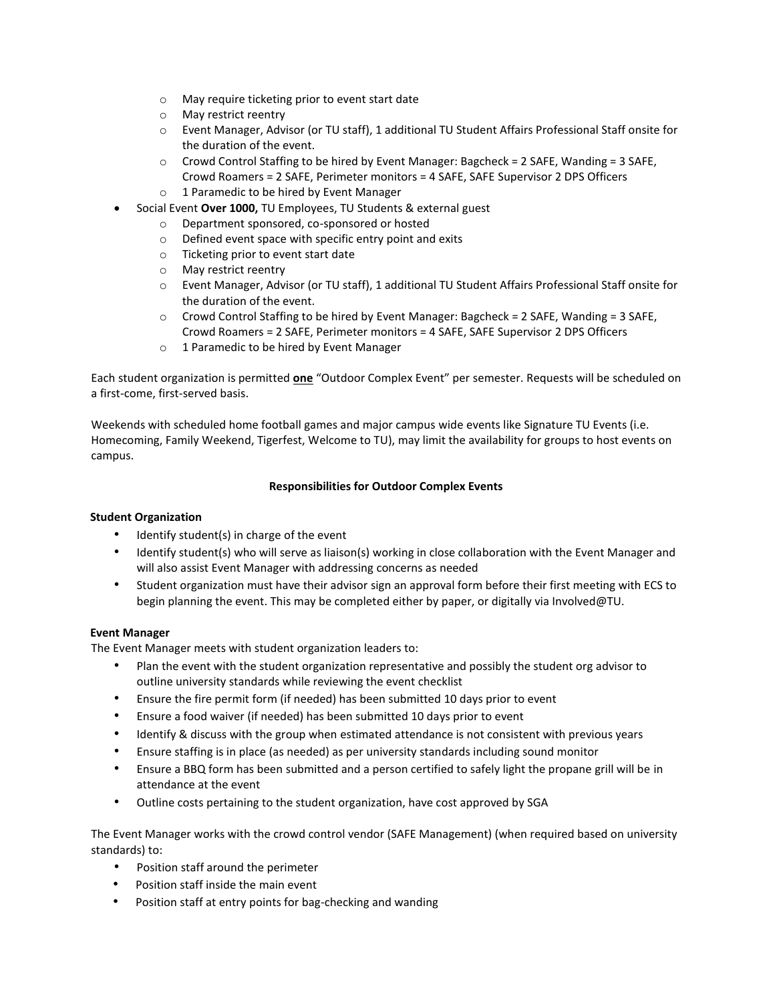- o May require ticketing prior to event start date
- o May restrict reentry
- o Event Manager, Advisor (or TU staff), 1 additional TU Student Affairs Professional Staff onsite for the duration of the event.
- $\circ$  Crowd Control Staffing to be hired by Event Manager: Bagcheck = 2 SAFE, Wanding = 3 SAFE, Crowd Roamers = 2 SAFE, Perimeter monitors = 4 SAFE, SAFE Supervisor 2 DPS Officers
- o 1 Paramedic to be hired by Event Manager
- Social Event **Over 1000,** TU Employees, TU Students & external guest
	- o Department sponsored, co-sponsored or hosted
	- o Defined event space with specific entry point and exits
	- o Ticketing prior to event start date
	- o May restrict reentry
	- o Event Manager, Advisor (or TU staff), 1 additional TU Student Affairs Professional Staff onsite for the duration of the event.
	- $\circ$  Crowd Control Staffing to be hired by Event Manager: Bagcheck = 2 SAFE, Wanding = 3 SAFE, Crowd Roamers = 2 SAFE, Perimeter monitors = 4 SAFE, SAFE Supervisor 2 DPS Officers
	- o 1 Paramedic to be hired by Event Manager

Each student organization is permitted **one** "Outdoor Complex Event" per semester. Requests will be scheduled on a first-come, first-served basis.

Weekends with scheduled home football games and major campus wide events like Signature TU Events (i.e. Homecoming, Family Weekend, Tigerfest, Welcome to TU), may limit the availability for groups to host events on campus.

## **Responsibilities for Outdoor Complex Events**

## **Student Organization**

- Identify student(s) in charge of the event
- Identify student(s) who will serve as liaison(s) working in close collaboration with the Event Manager and will also assist Event Manager with addressing concerns as needed
- Student organization must have their advisor sign an approval form before their first meeting with ECS to begin planning the event. This may be completed either by paper, or digitally via Involved@TU.

## **Event Manager**

The Event Manager meets with student organization leaders to:

- Plan the event with the student organization representative and possibly the student org advisor to outline university standards while reviewing the event checklist
- Ensure the fire permit form (if needed) has been submitted 10 days prior to event
- Ensure a food waiver (if needed) has been submitted 10 days prior to event
- Identify & discuss with the group when estimated attendance is not consistent with previous years
- Ensure staffing is in place (as needed) as per university standards including sound monitor
- Ensure a BBQ form has been submitted and a person certified to safely light the propane grill will be in attendance at the event
- Outline costs pertaining to the student organization, have cost approved by SGA

The Event Manager works with the crowd control vendor (SAFE Management) (when required based on university standards) to:

- Position staff around the perimeter
- Position staff inside the main event
- Position staff at entry points for bag-checking and wanding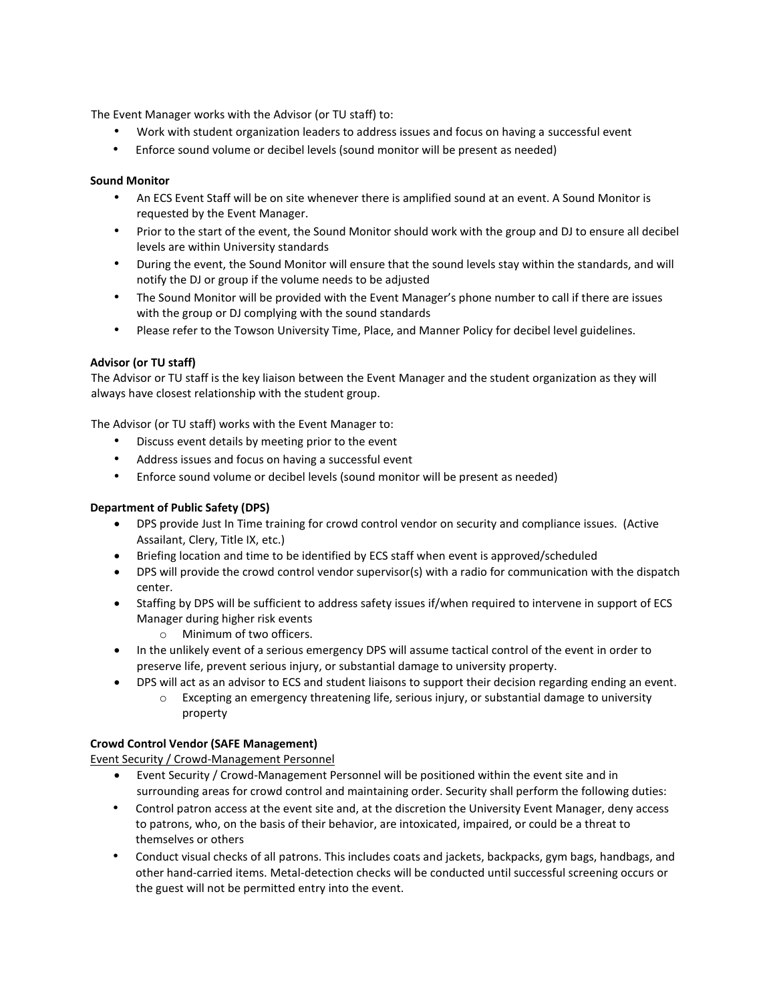The Event Manager works with the Advisor (or TU staff) to:

- Work with student organization leaders to address issues and focus on having a successful event
- Enforce sound volume or decibel levels (sound monitor will be present as needed)

## **Sound Monitor**

- An ECS Event Staff will be on site whenever there is amplified sound at an event. A Sound Monitor is requested by the Event Manager.
- Prior to the start of the event, the Sound Monitor should work with the group and DJ to ensure all decibel levels are within University standards
- During the event, the Sound Monitor will ensure that the sound levels stay within the standards, and will notify the DJ or group if the volume needs to be adjusted
- The Sound Monitor will be provided with the Event Manager's phone number to call if there are issues with the group or DJ complying with the sound standards
- Please refer to the Towson University Time, Place, and Manner Policy for decibel level guidelines.

### **Advisor (or TU staff)**

The Advisor or TU staff is the key liaison between the Event Manager and the student organization as they will always have closest relationship with the student group.

The Advisor (or TU staff) works with the Event Manager to:

- Discuss event details by meeting prior to the event
- Address issues and focus on having a successful event
- Enforce sound volume or decibel levels (sound monitor will be present as needed)

### **Department of Public Safety (DPS)**

- DPS provide Just In Time training for crowd control vendor on security and compliance issues. (Active Assailant, Clery, Title IX, etc.)
- Briefing location and time to be identified by ECS staff when event is approved/scheduled
- DPS will provide the crowd control vendor supervisor(s) with a radio for communication with the dispatch center.
- Staffing by DPS will be sufficient to address safety issues if/when required to intervene in support of ECS Manager during higher risk events
	- o Minimum of two officers.
- In the unlikely event of a serious emergency DPS will assume tactical control of the event in order to preserve life, prevent serious injury, or substantial damage to university property.
- DPS will act as an advisor to ECS and student liaisons to support their decision regarding ending an event.
	- $\circ$  Excepting an emergency threatening life, serious injury, or substantial damage to university property

#### **Crowd Control Vendor (SAFE Management)**

Event Security / Crowd-Management Personnel

- Event Security / Crowd-Management Personnel will be positioned within the event site and in surrounding areas for crowd control and maintaining order. Security shall perform the following duties:
- Control patron access at the event site and, at the discretion the University Event Manager, deny access to patrons, who, on the basis of their behavior, are intoxicated, impaired, or could be a threat to themselves or others
- Conduct visual checks of all patrons. This includes coats and jackets, backpacks, gym bags, handbags, and other hand-carried items. Metal-detection checks will be conducted until successful screening occurs or the guest will not be permitted entry into the event.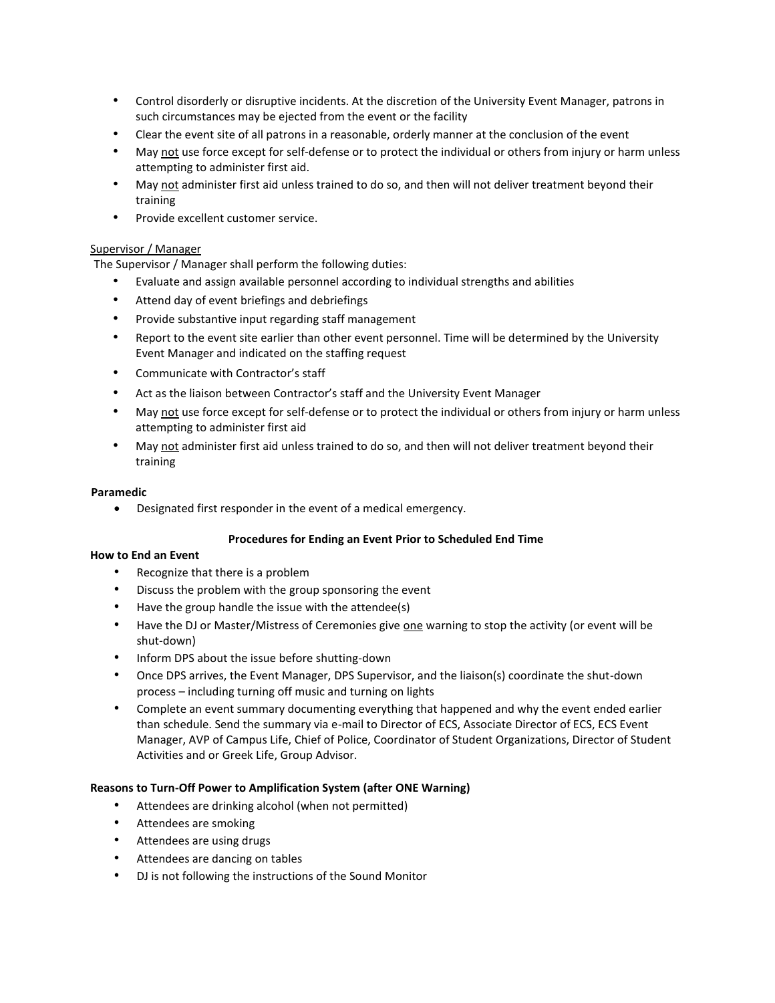- Control disorderly or disruptive incidents. At the discretion of the University Event Manager, patrons in such circumstances may be ejected from the event or the facility
- Clear the event site of all patrons in a reasonable, orderly manner at the conclusion of the event
- May not use force except for self-defense or to protect the individual or others from injury or harm unless attempting to administer first aid.
- May not administer first aid unless trained to do so, and then will not deliver treatment beyond their training
- Provide excellent customer service.

## Supervisor / Manager

The Supervisor / Manager shall perform the following duties:

- Evaluate and assign available personnel according to individual strengths and abilities
- Attend day of event briefings and debriefings
- Provide substantive input regarding staff management
- Report to the event site earlier than other event personnel. Time will be determined by the University Event Manager and indicated on the staffing request
- Communicate with Contractor's staff
- Act as the liaison between Contractor's staff and the University Event Manager
- May not use force except for self-defense or to protect the individual or others from injury or harm unless attempting to administer first aid
- May not administer first aid unless trained to do so, and then will not deliver treatment beyond their training

### **Paramedic**

Designated first responder in the event of a medical emergency.

## **Procedures for Ending an Event Prior to Scheduled End Time**

#### **How to End an Event**

- Recognize that there is a problem
- Discuss the problem with the group sponsoring the event
- Have the group handle the issue with the attendee(s)
- Have the DJ or Master/Mistress of Ceremonies give one warning to stop the activity (or event will be shut-down)
- Inform DPS about the issue before shutting-down
- Once DPS arrives, the Event Manager, DPS Supervisor, and the liaison(s) coordinate the shut-down process – including turning off music and turning on lights
- Complete an event summary documenting everything that happened and why the event ended earlier than schedule. Send the summary via e-mail to Director of ECS, Associate Director of ECS, ECS Event Manager, AVP of Campus Life, Chief of Police, Coordinator of Student Organizations, Director of Student Activities and or Greek Life, Group Advisor.

## **Reasons to Turn-Off Power to Amplification System (after ONE Warning)**

- Attendees are drinking alcohol (when not permitted)
- Attendees are smoking
- Attendees are using drugs
- Attendees are dancing on tables
- DJ is not following the instructions of the Sound Monitor